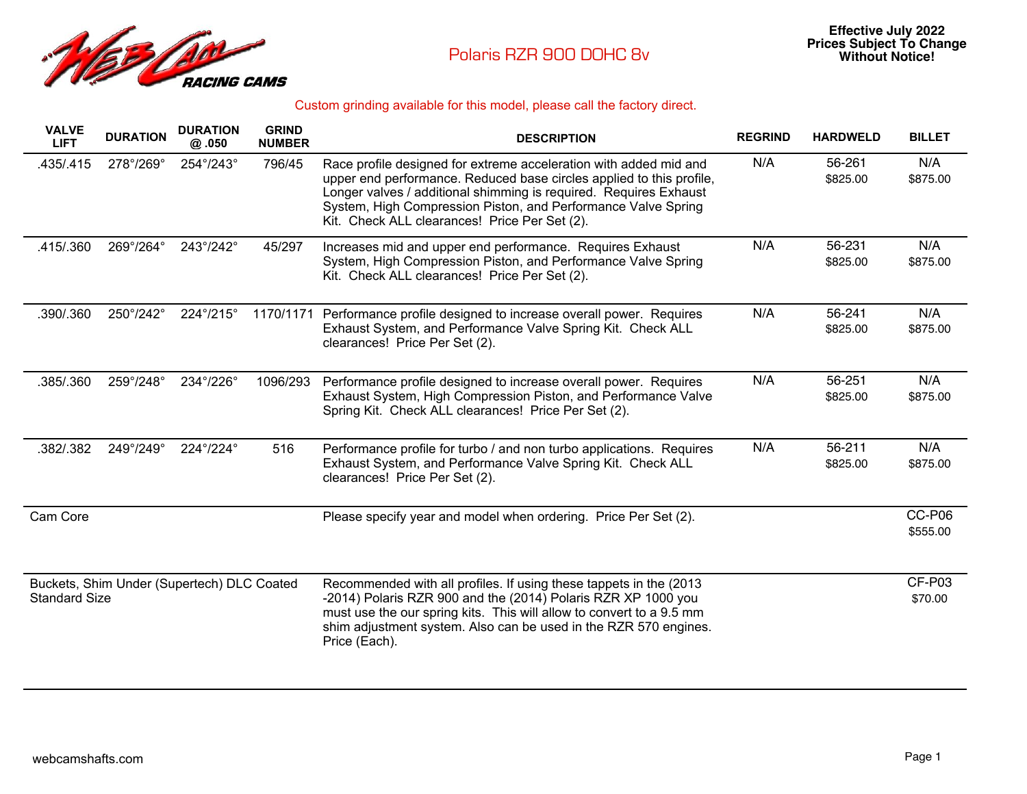

## Custom grinding available for this model, please call the factory direct.

| <b>VALVE</b><br><b>LIFT</b>                                        | <b>DURATION</b> | <b>DURATION</b><br>@.050 | <b>GRIND</b><br><b>NUMBER</b> | <b>DESCRIPTION</b>                                                                                                                                                                                                                                                                                                               | <b>REGRIND</b> | <b>HARDWELD</b>    | <b>BILLET</b>      |
|--------------------------------------------------------------------|-----------------|--------------------------|-------------------------------|----------------------------------------------------------------------------------------------------------------------------------------------------------------------------------------------------------------------------------------------------------------------------------------------------------------------------------|----------------|--------------------|--------------------|
| .435/.415                                                          | 278°/269°       | 254°/243°                | 796/45                        | Race profile designed for extreme acceleration with added mid and<br>upper end performance. Reduced base circles applied to this profile,<br>Longer valves / additional shimming is required. Requires Exhaust<br>System, High Compression Piston, and Performance Valve Spring<br>Kit. Check ALL clearances! Price Per Set (2). | N/A            | 56-261<br>\$825.00 | N/A<br>\$875.00    |
| .415/.360                                                          | 269°/264°       | 243°/242°                | 45/297                        | Increases mid and upper end performance. Requires Exhaust<br>System, High Compression Piston, and Performance Valve Spring<br>Kit. Check ALL clearances! Price Per Set (2).                                                                                                                                                      | N/A            | 56-231<br>\$825.00 | N/A<br>\$875.00    |
| .390/.360                                                          | 250°/242°       | 224°/215°                | 1170/1171                     | Performance profile designed to increase overall power. Requires<br>Exhaust System, and Performance Valve Spring Kit. Check ALL<br>clearances! Price Per Set (2).                                                                                                                                                                | N/A            | 56-241<br>\$825.00 | N/A<br>\$875.00    |
| .385/.360                                                          | 259°/248°       | 234°/226°                | 1096/293                      | Performance profile designed to increase overall power. Requires<br>Exhaust System, High Compression Piston, and Performance Valve<br>Spring Kit. Check ALL clearances! Price Per Set (2).                                                                                                                                       | N/A            | 56-251<br>\$825.00 | N/A<br>\$875.00    |
| .382/.382                                                          | 249°/249°       | 224°/224°                | 516                           | Performance profile for turbo / and non turbo applications. Requires<br>Exhaust System, and Performance Valve Spring Kit. Check ALL<br>clearances! Price Per Set (2).                                                                                                                                                            | N/A            | 56-211<br>\$825.00 | N/A<br>\$875.00    |
| Cam Core                                                           |                 |                          |                               | Please specify year and model when ordering. Price Per Set (2).                                                                                                                                                                                                                                                                  |                |                    | CC-P06<br>\$555.00 |
| Buckets, Shim Under (Supertech) DLC Coated<br><b>Standard Size</b> |                 |                          |                               | Recommended with all profiles. If using these tappets in the (2013)<br>-2014) Polaris RZR 900 and the (2014) Polaris RZR XP 1000 you<br>must use the our spring kits. This will allow to convert to a 9.5 mm<br>shim adjustment system. Also can be used in the RZR 570 engines.<br>Price (Each).                                |                |                    | CF-P03<br>\$70.00  |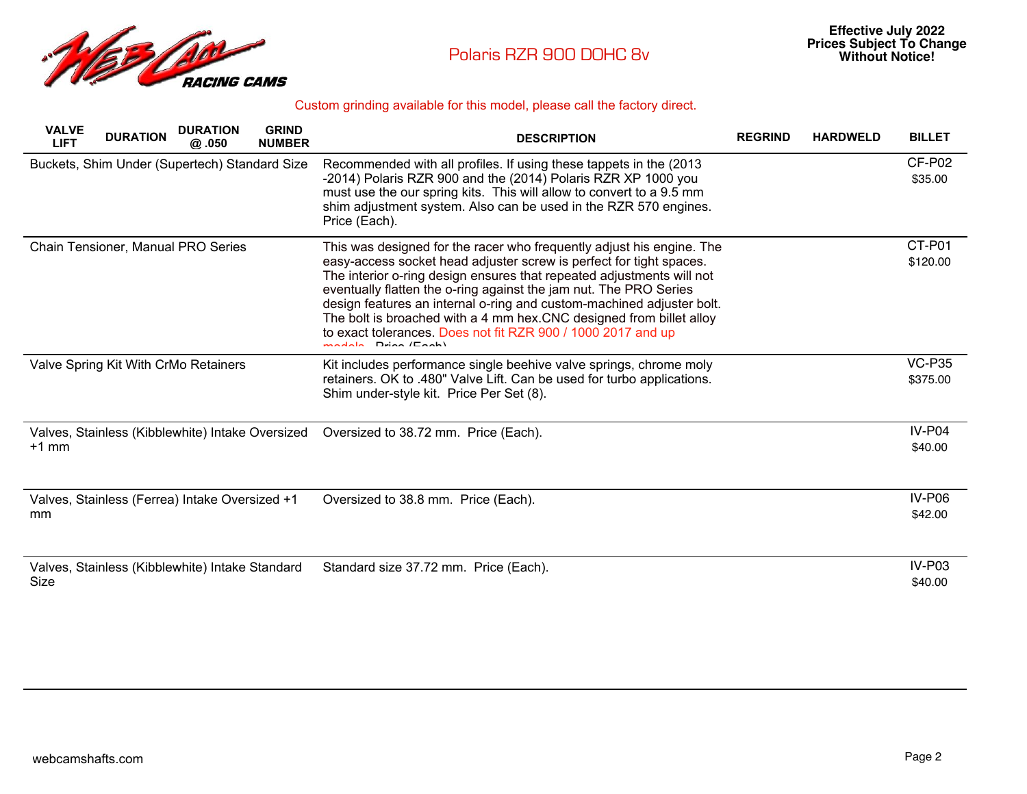

## Custom grinding available for this model, please call the factory direct.

| <b>DURATION</b><br><b>GRIND</b><br><b>VALVE</b><br><b>DURATION</b><br><b>LIFT</b><br><b>NUMBER</b><br>@.050 | <b>DESCRIPTION</b>                                                                                                                                                                                                                                                                                                                                                                                                                                                                                                                | <b>REGRIND</b> | <b>HARDWELD</b> | <b>BILLET</b>             |
|-------------------------------------------------------------------------------------------------------------|-----------------------------------------------------------------------------------------------------------------------------------------------------------------------------------------------------------------------------------------------------------------------------------------------------------------------------------------------------------------------------------------------------------------------------------------------------------------------------------------------------------------------------------|----------------|-----------------|---------------------------|
| Buckets, Shim Under (Supertech) Standard Size                                                               | Recommended with all profiles. If using these tappets in the (2013)<br>-2014) Polaris RZR 900 and the (2014) Polaris RZR XP 1000 you<br>must use the our spring kits. This will allow to convert to a 9.5 mm<br>shim adjustment system. Also can be used in the RZR 570 engines.<br>Price (Each).                                                                                                                                                                                                                                 |                |                 | CF-P02<br>\$35.00         |
| Chain Tensioner, Manual PRO Series                                                                          | This was designed for the racer who frequently adjust his engine. The<br>easy-access socket head adjuster screw is perfect for tight spaces.<br>The interior o-ring design ensures that repeated adjustments will not<br>eventually flatten the o-ring against the jam nut. The PRO Series<br>design features an internal o-ring and custom-machined adjuster bolt.<br>The bolt is broached with a 4 mm hex.CNC designed from billet alloy<br>to exact tolerances. Does not fit RZR 900 / 1000 2017 and up<br>madala Drian (Faah) |                |                 | CT-P01<br>\$120.00        |
| Valve Spring Kit With CrMo Retainers                                                                        | Kit includes performance single beehive valve springs, chrome moly<br>retainers. OK to .480" Valve Lift. Can be used for turbo applications.<br>Shim under-style kit. Price Per Set (8).                                                                                                                                                                                                                                                                                                                                          |                |                 | <b>VC-P35</b><br>\$375.00 |
| Valves, Stainless (Kibblewhite) Intake Oversized<br>$+1$ mm                                                 | Oversized to 38.72 mm. Price (Each).                                                                                                                                                                                                                                                                                                                                                                                                                                                                                              |                |                 | <b>IV-P04</b><br>\$40.00  |
| Valves, Stainless (Ferrea) Intake Oversized +1<br>mm                                                        | Oversized to 38.8 mm. Price (Each).                                                                                                                                                                                                                                                                                                                                                                                                                                                                                               |                |                 | IV-P06<br>\$42.00         |
| Valves, Stainless (Kibblewhite) Intake Standard<br>Size                                                     | Standard size 37.72 mm. Price (Each).                                                                                                                                                                                                                                                                                                                                                                                                                                                                                             |                |                 | $IV-P03$<br>\$40.00       |